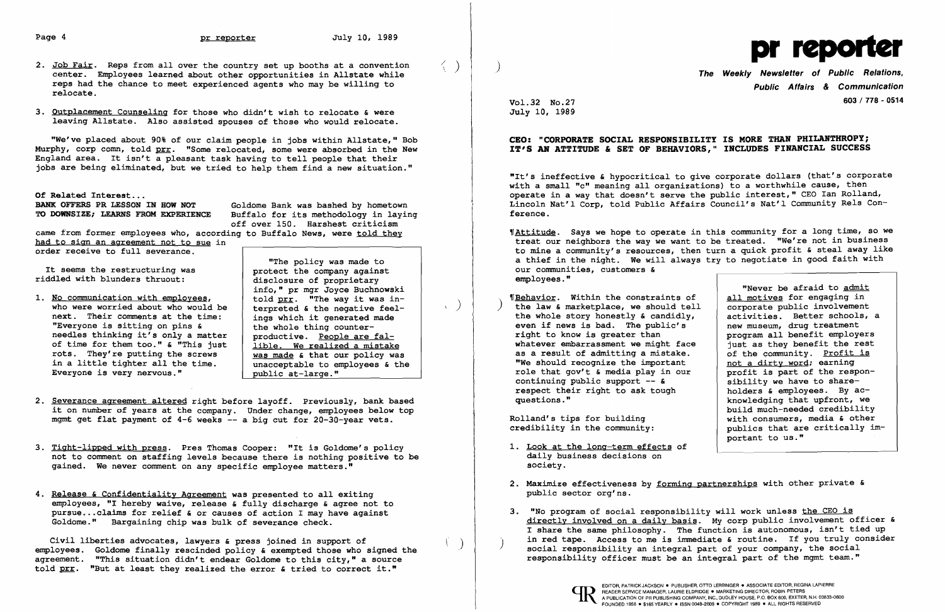- 2. Job Fair. Reps from all over the country set up booths at a convention  $\langle \rangle$ reps had the chance to meet experienced agents who may be willing to relocate.
- 3. Outplacement Counseling for those who didn't wish to relocate & were leaving Allstate. Also assisted spouses of those who would relocate.

BANK OFFERS PR LESSON IN HOW NOT Goldome Bank was bashed by hometown<br>TO DOWNSIZE: LEARNS FROM EXPERIENCE Buffalo for its methodology in lavin Buffalo for its methodology in laying off over 150. Harshest criticism came from former employees who, according to Buffalo News, were told they

It seems the restructuring was riddled with blunders thruout:

"We've placed about 90% of our claim people in jobs within Allstate," Bob Murphy, corp comn, told prr. "Some relocated, some were absorbed in the New England area. It isn't a pleasant task having to tell people that their jobs are being eliminated, but we tried to help them find a new situation."

Of Related Interest...<br>BANK OFFERS PR LESSON IN HOW NOT

1. No communication with employees, who were worried about who would be next. Their comments at the time: "Everyone is sitting on pins & needles thinking it's only a matter of time for them too." & "This just rots. They're putting the screws in a little tighter all the time. Everyone is very nervous."

had to sign an agreement not to sue in order receive to full severance.

- 2. Severance agreement altered right before layoff. Previously, bank based it on number of years at the company. Under change, employees below top mgmt get flat payment of 4-6 weeks -- a big cut for 20-30-year vets.
- 3. Tight-lipped with press. Pres Thomas Cooper: "It is Goldome's policy not to comment on staffing levels because there is nothing positive to be gained. We never comment on any specific employee matters."
- 4. Release & Confidentiality Agreement was presented to all exiting employees, "I hereby waive, release & fully discharge & agree not to pursue ... claims for relief & or causes of action I may have against Goldome." Bargaining chip was bulk of severance check.

Civil liberties advocates, lawyers & press joined in support of<br>employees. Goldome finally rescinded policy & exempted those who signed the agreement. "This situation didn't endear Goldome to this city," a source told  $prr$ . "But at least they realized the error & tried to correct it."</u>

"The policy was made to protect the company against<br>disclosure of proprietary info," pr mgr Joyce Buchnowski told prr. "The way it was in- $\left\{\begin{array}{c} \text{C01G}\text{ } \underline{\text{D1T}}. \end{array} \right.$  The way it was in-<br>terpreted & the negative feelcerpreted **a** the hegative feel<br>ings which it generated made the whole thing counterproductive. People are fal lible. We realized a mistake was made & that our policy was unacceptable to employees & the public at-large."

- a thief in the night. We will always try to negotiate in good faith with our communities, customers & employees."
- **'Behavior.** Within the constraints of the law & marketplace, we should tell corporate public involvement<br>the whole story honestly & candidly, activities. Better schools, a the whole story honestly  $\epsilon$  candidly,<br>even if news is bad. The public's right to know is greater than whatever embarrassment we might face just as they benefit the rest as a result of admitting a mistake.  $\begin{array}{|l|} \hline \text{or} & \text{or} & \text{or} \\ \hline \text{or} & \text{or} & \text{or} \\ \hline \text{or} & \text{or} & \text{or} \\ \hline \text{or} & \text{or} & \text{or} \\ \hline \text{or} & \text{or} & \text{or} \\ \hline \text{or} & \text{or} & \text{or} \\ \hline \text{or} & \text{or} & \text{or} \\ \hline \text{or} & \text{or} & \text{or} \\ \hline \text{or$ "We should recognize the important role that gov't & media play in our continuing public support  $-$  & respect their right to ask tough<br>questions."

directly involved on a daily basis. My corp public involvement officer & I share the same philosophy. The function is autonomous, isn't tied up in red tape. Access to me is immediate  $\epsilon$  routine. If you truly consider social responsibility an integral part of your company, the social

- 1. Look at the long-term effects of daily business decisions on society.
- 2. Maximize effectiveness by forming partnerships with other private & public sector org'ns.
- 3. "No program of social responsibility will work unless the CEO is responsibility officer must be an integral part of the mgmt team."





Public Affairs & Communication Vol.32 No.2? 603 / 778 - 0514

July 10, 1989

## CEO: "CORPORATE SOCIAL RESPONSIBILITY IS MORE THAN PHILANTHROPY; IT'S AN ATTITUDE & SET OF BEHAVIORS," INCLUDES FINANCIAL SUCCESS

"It's ineffective & hypocritical to give corporate dollars (that's corporate with a small "c" meaning all organizations) to a worthwhile cause, then operate in a way that doesn't serve the public interest," CEO Ian Rolland, Lincoln Nat'l Corp, told Public Affairs Council's Nat'l Community Rels Conference.

'fAttitude. Says we hope to operate in this community for a long time, so we treat our neighbors the way we want to be treated. "We're not in business to mine a community's resources, then turn a quick profit & steal away like

"Never be afraid to admit all motives for engaging in<br>corporate public involvement new museum, drug treatment program all benefit employers profit is part of the responsibility we have to share holders & employees. By acknowledging that upfront, we build much-needed credibility Rolland's tips for building  $\begin{array}{c|c} \hline \text{with consumers, media & other} \\ \text{credibility in the community:} \end{array}$ publics that are critically important to us."